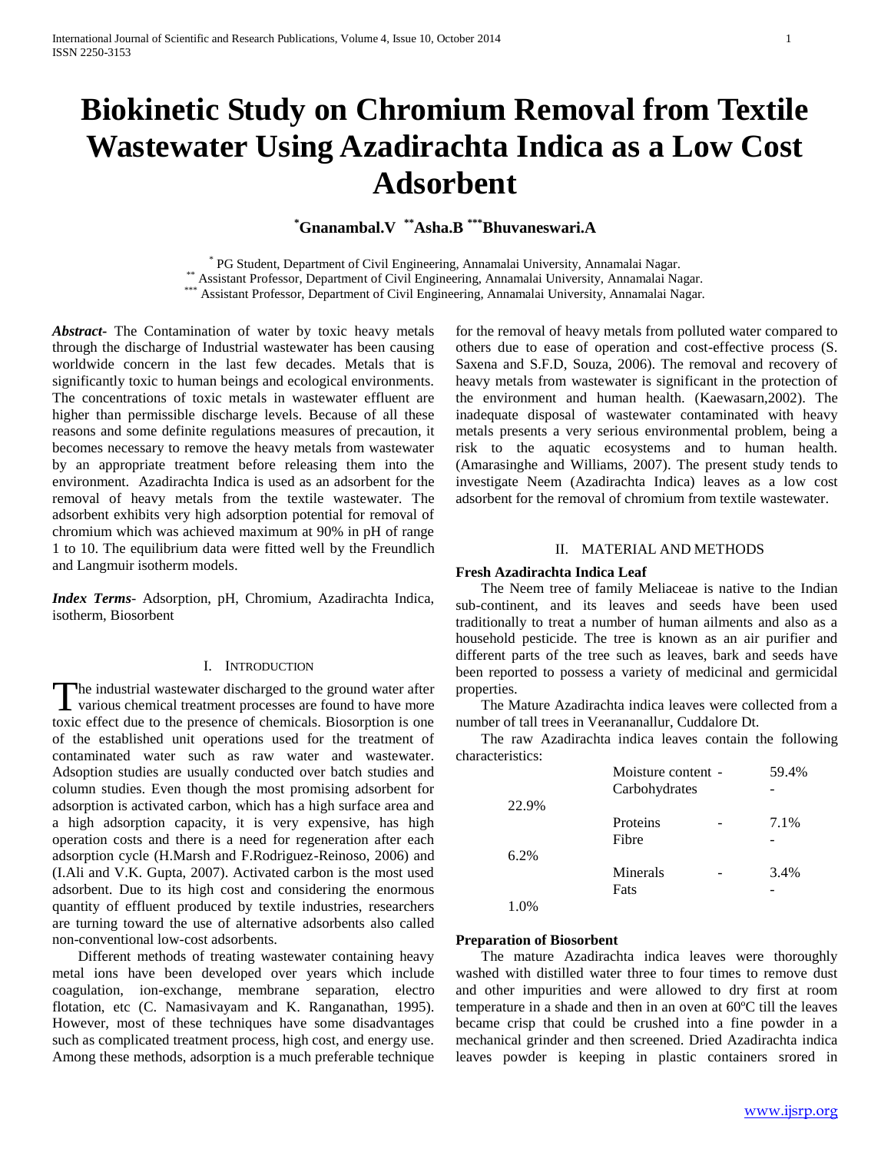# **Biokinetic Study on Chromium Removal from Textile Wastewater Using Azadirachta Indica as a Low Cost Adsorbent**

**\*Gnanambal.V \*\*Asha.B \*\*\*Bhuvaneswari.A**

\* PG Student, Department of Civil Engineering, Annamalai University, Annamalai Nagar. \*\* Assistant Professor, Department of Civil Engineering, Annamalai University, Annamalai Nagar. \* Assistant Professor, Department of Civil Engineering, Annamalai University, Annamalai Nagar.

*Abstract***-** The Contamination of water by toxic heavy metals through the discharge of Industrial wastewater has been causing worldwide concern in the last few decades. Metals that is significantly toxic to human beings and ecological environments. The concentrations of toxic metals in wastewater effluent are higher than permissible discharge levels. Because of all these reasons and some definite regulations measures of precaution, it becomes necessary to remove the heavy metals from wastewater by an appropriate treatment before releasing them into the environment. Azadirachta Indica is used as an adsorbent for the removal of heavy metals from the textile wastewater. The adsorbent exhibits very high adsorption potential for removal of chromium which was achieved maximum at 90% in pH of range 1 to 10. The equilibrium data were fitted well by the Freundlich and Langmuir isotherm models.

*Index Terms*- Adsorption, pH, Chromium, Azadirachta Indica, isotherm, Biosorbent

# I. INTRODUCTION

The industrial wastewater discharged to the ground water after The industrial wastewater discharged to the ground water after<br>various chemical treatment processes are found to have more toxic effect due to the presence of chemicals. Biosorption is one of the established unit operations used for the treatment of contaminated water such as raw water and wastewater. Adsoption studies are usually conducted over batch studies and column studies. Even though the most promising adsorbent for adsorption is activated carbon, which has a high surface area and a high adsorption capacity, it is very expensive, has high operation costs and there is a need for regeneration after each adsorption cycle (H.Marsh and F.Rodriguez-Reinoso, 2006) and (I.Ali and V.K. Gupta, 2007). Activated carbon is the most used adsorbent. Due to its high cost and considering the enormous quantity of effluent produced by textile industries, researchers are turning toward the use of alternative adsorbents also called non-conventional low-cost adsorbents.

 Different methods of treating wastewater containing heavy metal ions have been developed over years which include coagulation, ion-exchange, membrane separation, electro flotation, etc (C. Namasivayam and K. Ranganathan, 1995). However, most of these techniques have some disadvantages such as complicated treatment process, high cost, and energy use. Among these methods, adsorption is a much preferable technique

for the removal of heavy metals from polluted water compared to others due to ease of operation and cost-effective process (S. Saxena and S.F.D, Souza, 2006). The removal and recovery of heavy metals from wastewater is significant in the protection of the environment and human health. (Kaewasarn,2002). The inadequate disposal of wastewater contaminated with heavy metals presents a very serious environmental problem, being a risk to the aquatic ecosystems and to human health. (Amarasinghe and Williams, 2007). The present study tends to investigate Neem (Azadirachta Indica) leaves as a low cost adsorbent for the removal of chromium from textile wastewater.

#### II. MATERIAL AND METHODS

### **Fresh Azadirachta Indica Leaf**

 The Neem tree of family Meliaceae is native to the Indian sub-continent, and its leaves and seeds have been used traditionally to treat a number of human ailments and also as a household pesticide. The tree is known as an air purifier and different parts of the tree such as leaves, bark and seeds have been reported to possess a variety of medicinal and germicidal properties.

 The Mature Azadirachta indica leaves were collected from a number of tall trees in Veerananallur, Cuddalore Dt.

 The raw Azadirachta indica leaves contain the following characteristics:

|       | Moisture content - | 59.4% |
|-------|--------------------|-------|
|       | Carbohydrates      |       |
| 22.9% |                    |       |
|       | Proteins           | 7.1%  |
|       | Fibre              |       |
| 6.2%  |                    |       |
|       | Minerals           | 3.4%  |
|       | Fats               |       |
|       |                    |       |

#### **Preparation of Biosorbent**

 The mature Azadirachta indica leaves were thoroughly washed with distilled water three to four times to remove dust and other impurities and were allowed to dry first at room temperature in a shade and then in an oven at 60ºC till the leaves became crisp that could be crushed into a fine powder in a mechanical grinder and then screened. Dried Azadirachta indica leaves powder is keeping in plastic containers srored in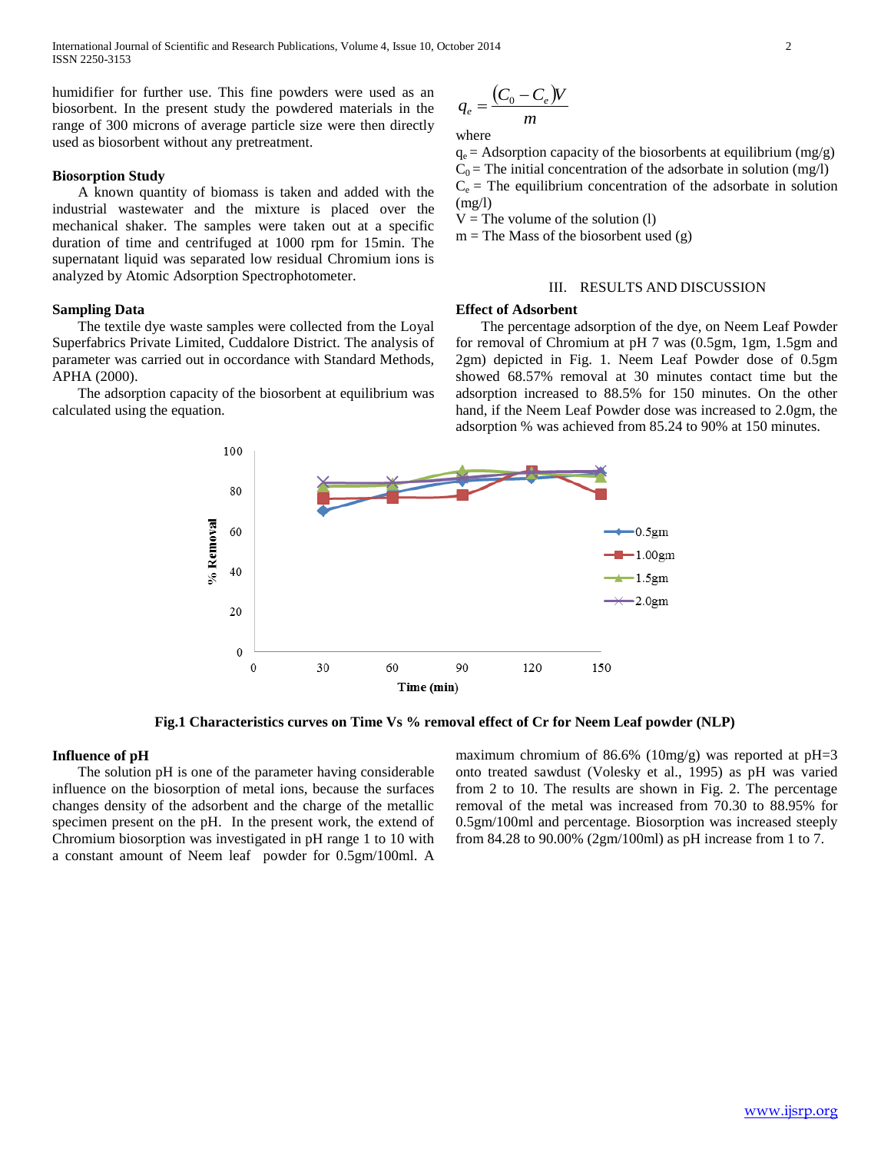humidifier for further use. This fine powders were used as an biosorbent. In the present study the powdered materials in the range of 300 microns of average particle size were then directly used as biosorbent without any pretreatment.

# **Biosorption Study**

 A known quantity of biomass is taken and added with the industrial wastewater and the mixture is placed over the mechanical shaker. The samples were taken out at a specific duration of time and centrifuged at 1000 rpm for 15min. The supernatant liquid was separated low residual Chromium ions is analyzed by Atomic Adsorption Spectrophotometer.

## **Sampling Data**

 The textile dye waste samples were collected from the Loyal Superfabrics Private Limited, Cuddalore District. The analysis of parameter was carried out in occordance with Standard Methods, APHA (2000).

 The adsorption capacity of the biosorbent at equilibrium was calculated using the equation.

$$
q_e = \frac{(C_0 - C_e)V}{m}
$$

where

 $q_e$  = Adsorption capacity of the biosorbents at equilibrium (mg/g)  $C_0$  = The initial concentration of the adsorbate in solution (mg/l)  $C_e$  = The equilibrium concentration of the adsorbate in solution  $(mg/l)$ 

 $V =$ The volume of the solution (1)

 $m =$ The Mass of the biosorbent used  $(g)$ 

# III. RESULTS AND DISCUSSION

### **Effect of Adsorbent**

 The percentage adsorption of the dye, on Neem Leaf Powder for removal of Chromium at pH 7 was (0.5gm, 1gm, 1.5gm and 2gm) depicted in Fig. 1. Neem Leaf Powder dose of 0.5gm showed 68.57% removal at 30 minutes contact time but the adsorption increased to 88.5% for 150 minutes. On the other hand, if the Neem Leaf Powder dose was increased to 2.0gm, the adsorption % was achieved from 85.24 to 90% at 150 minutes.



**Fig.1 Characteristics curves on Time Vs % removal effect of Cr for Neem Leaf powder (NLP)**

#### **Influence of pH**

 The solution pH is one of the parameter having considerable influence on the biosorption of metal ions, because the surfaces changes density of the adsorbent and the charge of the metallic specimen present on the pH. In the present work, the extend of Chromium biosorption was investigated in pH range 1 to 10 with a constant amount of Neem leaf powder for 0.5gm/100ml. A

maximum chromium of 86.6% (10mg/g) was reported at  $pH=3$ onto treated sawdust (Volesky et al., 1995) as pH was varied from 2 to 10. The results are shown in Fig. 2. The percentage removal of the metal was increased from 70.30 to 88.95% for 0.5gm/100ml and percentage. Biosorption was increased steeply from 84.28 to 90.00% (2gm/100ml) as pH increase from 1 to 7.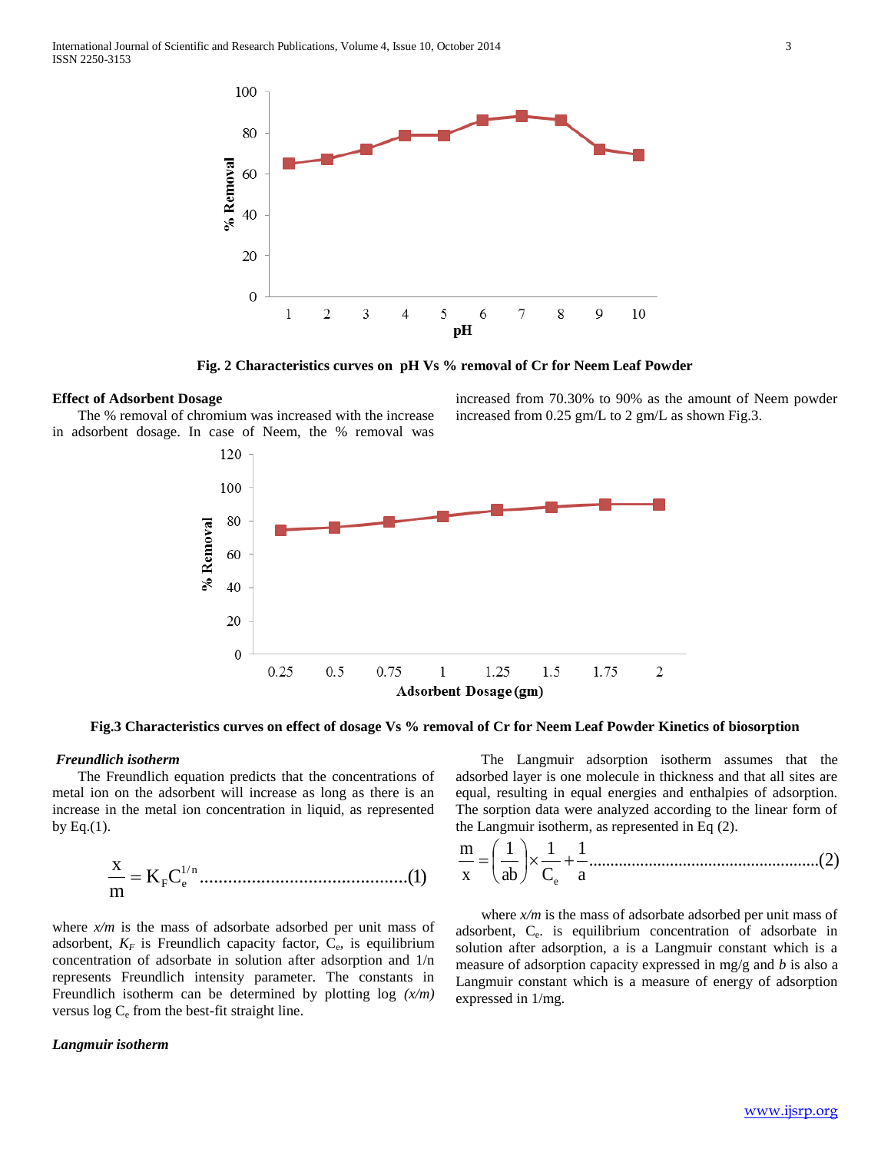

**Fig. 2 Characteristics curves on pH Vs % removal of Cr for Neem Leaf Powder**

# **Effect of Adsorbent Dosage**

 The % removal of chromium was increased with the increase in adsorbent dosage. In case of Neem, the % removal was



**Fig.3 Characteristics curves on effect of dosage Vs % removal of Cr for Neem Leaf Powder Kinetics of biosorption**

# *Freundlich isotherm*

 The Freundlich equation predicts that the concentrations of metal ion on the adsorbent will increase as long as there is an increase in the metal ion concentration in liquid, as represented by Eq. $(1)$ .

K C ............................................(1) m x 1/ <sup>n</sup> F e

where  $x/m$  is the mass of adsorbate adsorbed per unit mass of adsorbent,  $K_F$  is Freundlich capacity factor,  $C_e$ , is equilibrium concentration of adsorbate in solution after adsorption and 1/n represents Freundlich intensity parameter. The constants in Freundlich isotherm can be determined by plotting log *(x/m)*  versus  $\log C_e$  from the best-fit straight line.

#### *Langmuir isotherm*

 The Langmuir adsorption isotherm assumes that the adsorbed layer is one molecule in thickness and that all sites are equal, resulting in equal energies and enthalpies of adsorption. The sorption data were analyzed according to the linear form of the Langmuir isotherm, as represented in Eq (2).

increased from 70.30% to 90% as the amount of Neem powder

increased from 0.25 gm/L to 2 gm/L as shown Fig.3.

......................................................(2) a 1 C 1 ab 1 x m e 

 where *x/m* is the mass of adsorbate adsorbed per unit mass of adsorbent, C<sup>e</sup> . is equilibrium concentration of adsorbate in solution after adsorption, a is a Langmuir constant which is a measure of adsorption capacity expressed in mg/g and *b* is also a Langmuir constant which is a measure of energy of adsorption expressed in 1/mg.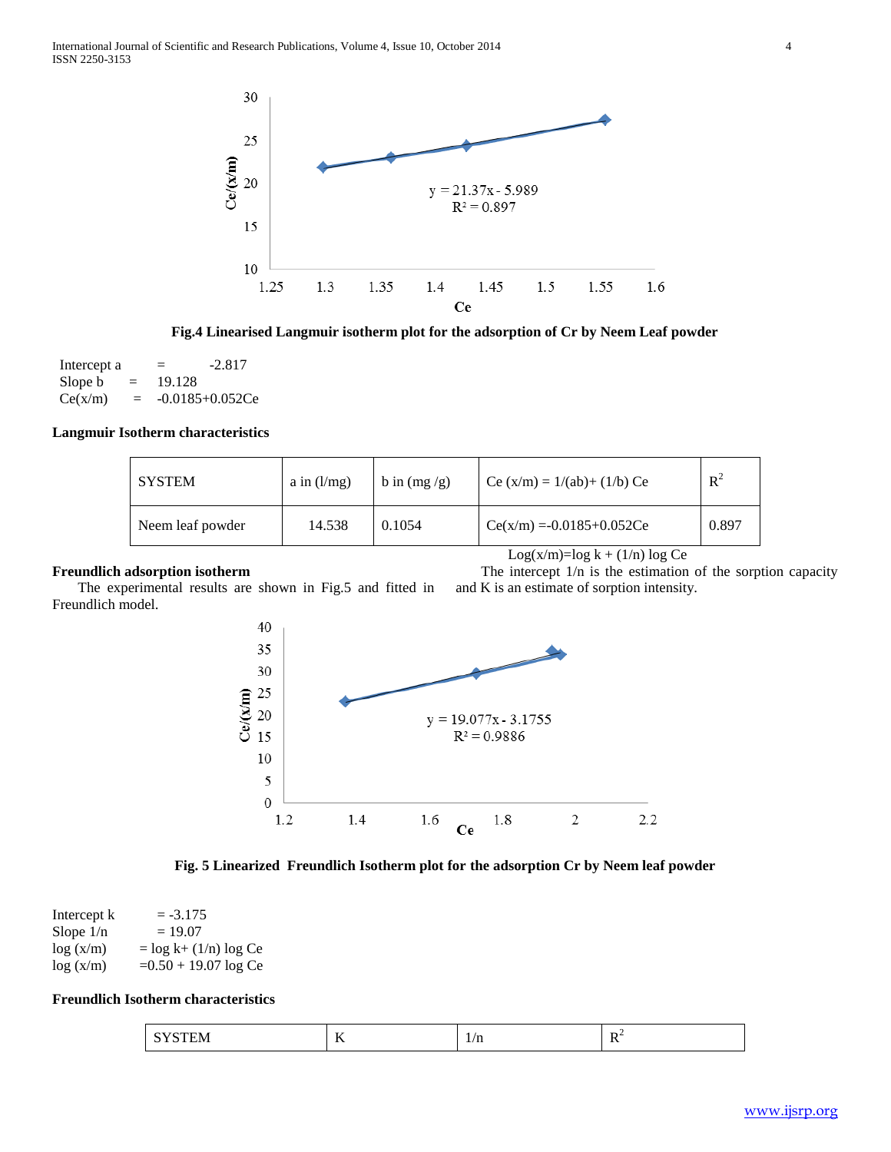

**Fig.4 Linearised Langmuir isotherm plot for the adsorption of Cr by Neem Leaf powder**

| Intercept a |     | $=$    | $-2.817$             |
|-------------|-----|--------|----------------------|
| Slope b     | $=$ | 19.128 |                      |
| Ce(x/m)     | $=$ |        | $-0.0185 + 0.052$ Ce |

# **Langmuir Isotherm characteristics**

| I SYSTEM         | a in $(l/mg)$ | $b$ in $(mg/g)$ | Ce $(x/m) = 1/(ab) + (1/b)$ Ce | $R^2$ |
|------------------|---------------|-----------------|--------------------------------|-------|
| Neem leaf powder | 14.538        | 0.1054          | $Ce(x/m) = -0.0185 + 0.052Ce$  | 0.897 |

# **Freundlich adsorption isotherm**

Log(x/m)=log  $k + (1/n)$  log Ce

 The intercept 1/n is the estimation of the sorption capacity and K is an estimate of sorption intensity.

 The experimental results are shown in Fig.5 and fitted in Freundlich model.



**Fig. 5 Linearized Freundlich Isotherm plot for the adsorption Cr by Neem leaf powder**

| Intercept k | $= -3.175$                |
|-------------|---------------------------|
| Slope $1/n$ | $= 19.07$                 |
| log(x/m)    | $=$ log k+ $(1/n)$ log Ce |
| log(x/m)    | $=0.50 + 19.07 \log Ce$   |

# **Freundlich Isotherm characteristics**

| $\sim$ $\sim$<br>⊺N ∕I<br>----<br>$\overline{\phantom{a}}$<br>_____ | $-$<br>. | $1/\mathrm{n}$<br>$-1 - 1$ | . .<br>$ -$ |
|---------------------------------------------------------------------|----------|----------------------------|-------------|
|---------------------------------------------------------------------|----------|----------------------------|-------------|